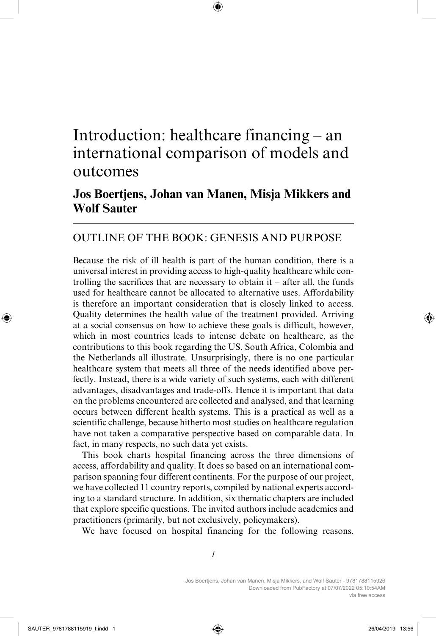# Introduction: healthcare financing – an international comparison of models and outcomes

# **Jos Boertjens, Johan van Manen, Misja Mikkers and Wolf Sauter**

## OUTLINE OF THE BOOK: GENESIS AND PURPOSE

Because the risk of ill health is part of the human condition, there is a universal interest in providing access to high-quality healthcare while controlling the sacrifices that are necessary to obtain it – after all, the funds used for healthcare cannot be allocated to alternative uses. Affordability is therefore an important consideration that is closely linked to access. Quality determines the health value of the treatment provided. Arriving at a social consensus on how to achieve these goals is difficult, however, which in most countries leads to intense debate on healthcare, as the contributions to this book regarding the US, South Africa, Colombia and the Netherlands all illustrate. Unsurprisingly, there is no one particular healthcare system that meets all three of the needs identified above perfectly. Instead, there is a wide variety of such systems, each with different advantages, disadvantages and trade-offs. Hence it is important that data on the problems encountered are collected and analysed, and that learning occurs between different health systems. This is a practical as well as a scientific challenge, because hitherto most studies on healthcare regulation have not taken a comparative perspective based on comparable data. In fact, in many respects, no such data yet exists.

This book charts hospital financing across the three dimensions of access, affordability and quality. It does so based on an international comparison spanning four different continents. For the purpose of our project, we have collected 11 country reports, compiled by national experts according to a standard structure. In addition, six thematic chapters are included that explore specific questions. The invited authors include academics and practitioners (primarily, but not exclusively, policymakers).

We have focused on hospital financing for the following reasons.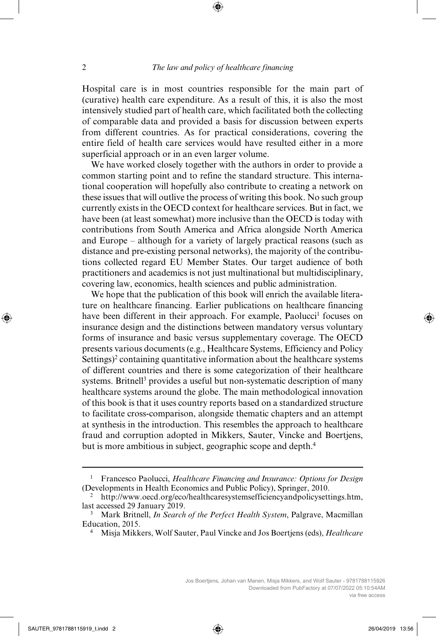Hospital care is in most countries responsible for the main part of (curative) health care expenditure. As a result of this, it is also the most intensively studied part of health care, which facilitated both the collecting of comparable data and provided a basis for discussion between experts from different countries. As for practical considerations, covering the entire field of health care services would have resulted either in a more superficial approach or in an even larger volume.

We have worked closely together with the authors in order to provide a common starting point and to refine the standard structure. This international cooperation will hopefully also contribute to creating a network on these issues that will outlive the process of writing this book. No such group currently exists in the OECD context for healthcare services. But in fact, we have been (at least somewhat) more inclusive than the OECD is today with contributions from South America and Africa alongside North America and Europe – although for a variety of largely practical reasons (such as distance and pre-existing personal networks), the majority of the contributions collected regard EU Member States. Our target audience of both practitioners and academics is not just multinational but multidisciplinary, covering law, economics, health sciences and public administration.

We hope that the publication of this book will enrich the available literature on healthcare financing. Earlier publications on healthcare financing have been different in their approach. For example, Paolucci<sup>1</sup> focuses on insurance design and the distinctions between mandatory versus voluntary forms of insurance and basic versus supplementary coverage. The OECD presents various documents (e.g., Healthcare Systems, Efficiency and Policy Settings)<sup>2</sup> containing quantitative information about the healthcare systems of different countries and there is some categorization of their healthcare systems. Britnell<sup>3</sup> provides a useful but non-systematic description of many healthcare systems around the globe. The main methodological innovation of this book is that it uses country reports based on a standardized structure to facilitate cross-comparison, alongside thematic chapters and an attempt at synthesis in the introduction. This resembles the approach to healthcare fraud and corruption adopted in Mikkers, Sauter, Vincke and Boertjens, but is more ambitious in subject, geographic scope and depth.<sup>4</sup>

<sup>1</sup> Francesco Paolucci, *Healthcare Financing and Insurance: Options for Design* (Developments in Health Economics and Public Policy), Springer, 2010.

<sup>&</sup>lt;sup>2</sup> http://www.oecd.org/eco/healthcaresystemsefficiencyandpolicysettings.htm, last accessed 29 January 2019.

<sup>3</sup> Mark Britnell, *In Search of the Perfect Health System*, Palgrave, Macmillan Education, 2015.

<sup>4</sup> Misja Mikkers, Wolf Sauter, Paul Vincke and Jos Boertjens (eds), *Healthcare*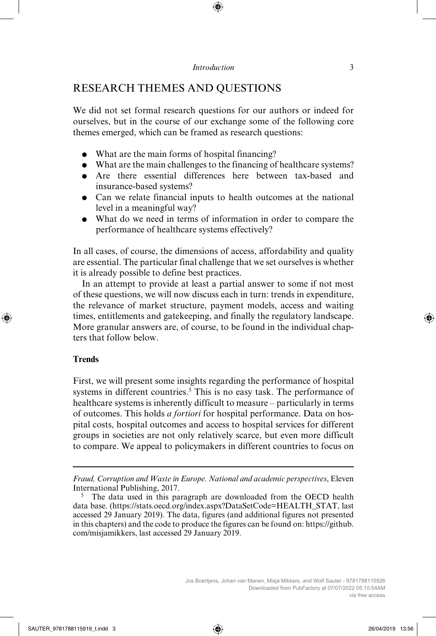# RESEARCH THEMES AND QUESTIONS

We did not set formal research questions for our authors or indeed for ourselves, but in the course of our exchange some of the following core themes emerged, which can be framed as research questions:

- What are the main forms of hospital financing?
- What are the main challenges to the financing of healthcare systems?
- Are there essential differences here between tax-based and insurance-based systems?
- Can we relate financial inputs to health outcomes at the national level in a meaningful way?
- What do we need in terms of information in order to compare the performance of healthcare systems effectively?

In all cases, of course, the dimensions of access, affordability and quality are essential. The particular final challenge that we set ourselves is whether it is already possible to define best practices.

In an attempt to provide at least a partial answer to some if not most of these questions, we will now discuss each in turn: trends in expenditure, the relevance of market structure, payment models, access and waiting times, entitlements and gatekeeping, and finally the regulatory landscape. More granular answers are, of course, to be found in the individual chapters that follow below.

### **Trends**

First, we will present some insights regarding the performance of hospital systems in different countries.<sup>5</sup> This is no easy task. The performance of healthcare systems is inherently difficult to measure – particularly in terms of outcomes. This holds *a fortiori* for hospital performance. Data on hospital costs, hospital outcomes and access to hospital services for different groups in societies are not only relatively scarce, but even more difficult to compare. We appeal to policymakers in different countries to focus on

*Fraud, Corruption and Waste in Europe. National and academic perspectives*, Eleven International Publishing, 2017.

The data used in this paragraph are downloaded from the OECD health data base. (https://stats.oecd.org/index.aspx?DataSetCode=HEALTH\_STAT, last accessed 29 January 2019). The data, figures (and additional figures not presented in this chapters) and the code to produce the figures can be found on: https://github. com/misjamikkers, last accessed 29 January 2019.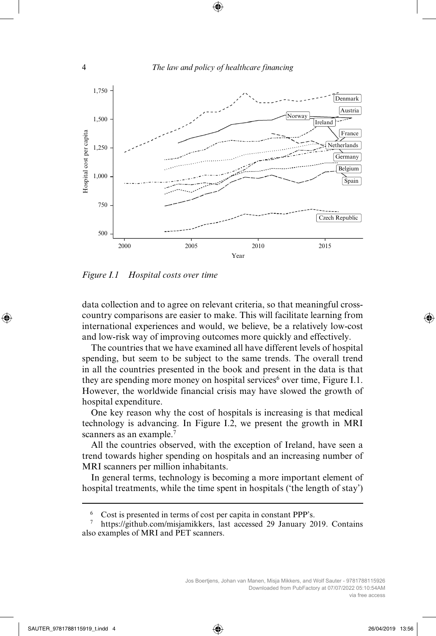

*Figure I.1 Hospital costs over time*

data collection and to agree on relevant criteria, so that meaningful crosscountry comparisons are easier to make. This will facilitate learning from international experiences and would, we believe, be a relatively low-cost and low-risk way of improving outcomes more quickly and effectively.

The countries that we have examined all have different levels of hospital spending, but seem to be subject to the same trends. The overall trend in all the countries presented in the book and present in the data is that they are spending more money on hospital services<sup>6</sup> over time, Figure I.1. However, the worldwide financial crisis may have slowed the growth of hospital expenditure.

One key reason why the cost of hospitals is increasing is that medical technology is advancing. In Figure I.2, we present the growth in MRI scanners as an example.<sup>7</sup>

All the countries observed, with the exception of Ireland, have seen a trend towards higher spending on hospitals and an increasing number of MRI scanners per million inhabitants.

In general terms, technology is becoming a more important element of hospital treatments, while the time spent in hospitals ('the length of stay')

<sup>6</sup> Cost is presented in terms of cost per capita in constant PPP's.

https://github.com/misjamikkers, last accessed 29 January 2019. Contains also examples of MRI and PET scanners.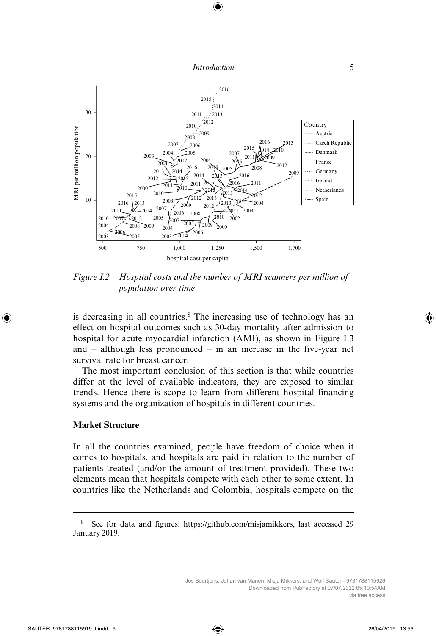

*Figure I.2 Hospital costs and the number of MRI scanners per million of population over time*

is decreasing in all countries.<sup>8</sup> The increasing use of technology has an effect on hospital outcomes such as 30-day mortality after admission to hospital for acute myocardial infarction (AMI), as shown in Figure I.3 and – although less pronounced – in an increase in the five-year net survival rate for breast cancer.

The most important conclusion of this section is that while countries differ at the level of available indicators, they are exposed to similar trends. Hence there is scope to learn from different hospital financing systems and the organization of hospitals in different countries.

#### **Market Structure**

In all the countries examined, people have freedom of choice when it comes to hospitals, and hospitals are paid in relation to the number of patients treated (and/or the amount of treatment provided). These two elements mean that hospitals compete with each other to some extent. In countries like the Netherlands and Colombia, hospitals compete on the

 See for data and figures: https://github.com/misjamikkers, last accessed 29 January 2019.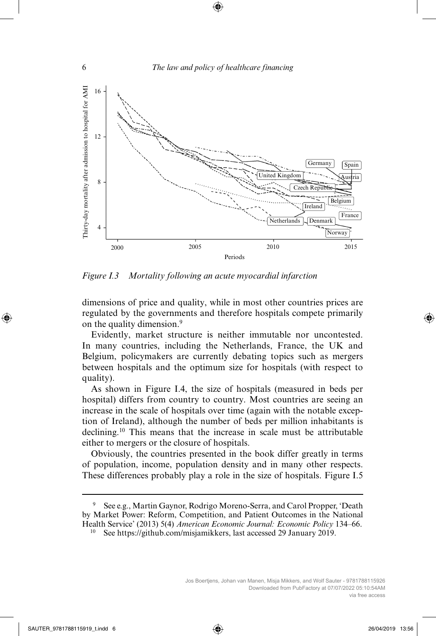

*Figure I.3 Mortality following an acute myocardial infarction*

dimensions of price and quality, while in most other countries prices are regulated by the governments and therefore hospitals compete primarily on the quality dimension.<sup>9</sup>

Evidently, market structure is neither immutable nor uncontested. In many countries, including the Netherlands, France, the UK and Belgium, policymakers are currently debating topics such as mergers between hospitals and the optimum size for hospitals (with respect to quality).

As shown in Figure I.4, the size of hospitals (measured in beds per hospital) differs from country to country. Most countries are seeing an increase in the scale of hospitals over time (again with the notable exception of Ireland), although the number of beds per million inhabitants is declining.10 This means that the increase in scale must be attributable either to mergers or the closure of hospitals.

Obviously, the countries presented in the book differ greatly in terms of population, income, population density and in many other respects. These differences probably play a role in the size of hospitals. Figure I.5

Jos Boertjens, Johan van Manen, Misja Mikkers, and Wolf Sauter - 9781788115926 Downloaded from PubFactory at 07/07/2022 05:10:54AM via free access

See e.g., Martin Gaynor, Rodrigo Moreno-Serra, and Carol Propper, 'Death by Market Power: Reform, Competition, and Patient Outcomes in the National Health Service' (2013) 5(4) *American Economic Journal: Economic Policy* 134–66.

See https://github.com/misjamikkers, last accessed 29 January 2019.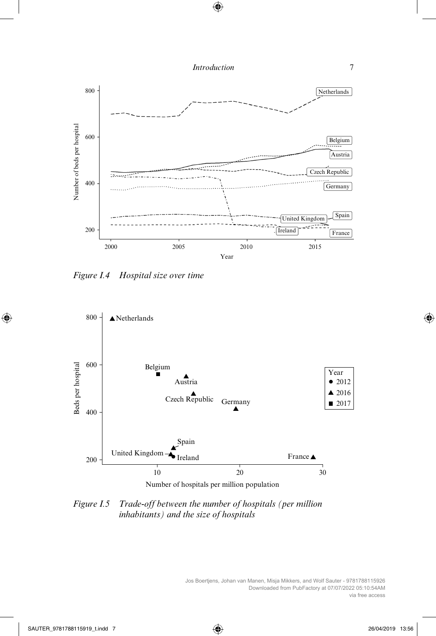

*Figure I.4 Hospital size over time*



Number of hospitals per million population

*Figure I.5 Trade-off between the number of hospitals (per million inhabitants) and the size of hospitals*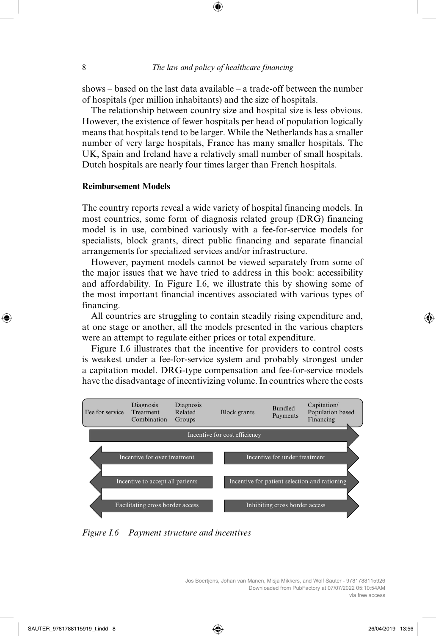shows – based on the last data available – a trade-off between the number of hospitals (per million inhabitants) and the size of hospitals.

The relationship between country size and hospital size is less obvious. However, the existence of fewer hospitals per head of population logically means that hospitals tend to be larger. While the Netherlands has a smaller number of very large hospitals, France has many smaller hospitals. The UK, Spain and Ireland have a relatively small number of small hospitals. Dutch hospitals are nearly four times larger than French hospitals.

#### **Reimbursement Models**

The country reports reveal a wide variety of hospital financing models. In most countries, some form of diagnosis related group (DRG) financing model is in use, combined variously with a fee-for-service models for specialists, block grants, direct public financing and separate financial arrangements for specialized services and/or infrastructure.

However, payment models cannot be viewed separately from some of the major issues that we have tried to address in this book: accessibility and affordability. In Figure I.6, we illustrate this by showing some of the most important financial incentives associated with various types of financing.

All countries are struggling to contain steadily rising expenditure and, at one stage or another, all the models presented in the various chapters were an attempt to regulate either prices or total expenditure.

Figure I.6 illustrates that the incentive for providers to control costs is weakest under a fee-for-service system and probably strongest under a capitation model. DRG-type compensation and fee-for-service models have the disadvantage of incentivizing volume. In countries where the costs



*Figure I.6 Payment structure and incentives*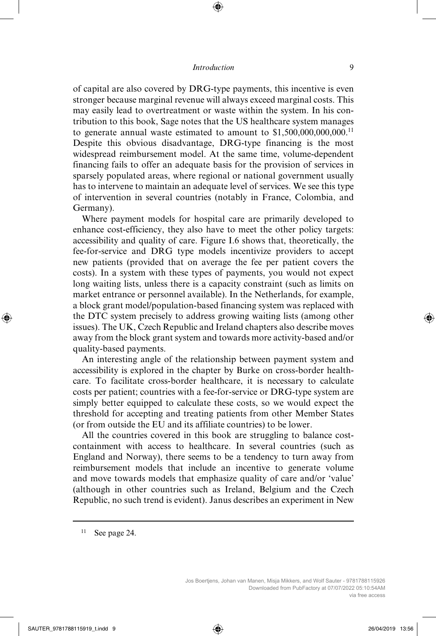of capital are also covered by DRG-type payments, this incentive is even stronger because marginal revenue will always exceed marginal costs. This may easily lead to overtreatment or waste within the system. In his contribution to this book, Sage notes that the US healthcare system manages to generate annual waste estimated to amount to  $$1,500,000,000,000$ .<sup>11</sup> Despite this obvious disadvantage, DRG-type financing is the most widespread reimbursement model. At the same time, volume-dependent financing fails to offer an adequate basis for the provision of services in sparsely populated areas, where regional or national government usually has to intervene to maintain an adequate level of services. We see this type of intervention in several countries (notably in France, Colombia, and Germany).

Where payment models for hospital care are primarily developed to enhance cost-efficiency, they also have to meet the other policy targets: accessibility and quality of care. Figure I.6 shows that, theoretically, the fee-for-service and DRG type models incentivize providers to accept new patients (provided that on average the fee per patient covers the costs). In a system with these types of payments, you would not expect long waiting lists, unless there is a capacity constraint (such as limits on market entrance or personnel available). In the Netherlands, for example, a block grant model/population-based financing system was replaced with the DTC system precisely to address growing waiting lists (among other issues). The UK, Czech Republic and Ireland chapters also describe moves away from the block grant system and towards more activity-based and/or quality-based payments.

An interesting angle of the relationship between payment system and accessibility is explored in the chapter by Burke on cross-border healthcare. To facilitate cross-border healthcare, it is necessary to calculate costs per patient; countries with a fee-for-service or DRG-type system are simply better equipped to calculate these costs, so we would expect the threshold for accepting and treating patients from other Member States (or from outside the EU and its affiliate countries) to be lower.

All the countries covered in this book are struggling to balance costcontainment with access to healthcare. In several countries (such as England and Norway), there seems to be a tendency to turn away from reimbursement models that include an incentive to generate volume and move towards models that emphasize quality of care and/or 'value' (although in other countries such as Ireland, Belgium and the Czech Republic, no such trend is evident). Janus describes an experiment in New

<sup>11</sup> See page 24.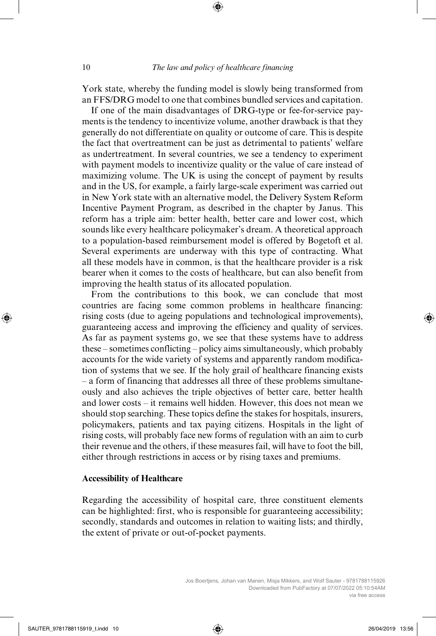York state, whereby the funding model is slowly being transformed from an FFS/DRG model to one that combines bundled services and capitation.

If one of the main disadvantages of DRG-type or fee-for-service payments is the tendency to incentivize volume, another drawback is that they generally do not differentiate on quality or outcome of care. This is despite the fact that overtreatment can be just as detrimental to patients' welfare as undertreatment. In several countries, we see a tendency to experiment with payment models to incentivize quality or the value of care instead of maximizing volume. The UK is using the concept of payment by results and in the US, for example, a fairly large-scale experiment was carried out in New York state with an alternative model, the Delivery System Reform Incentive Payment Program, as described in the chapter by Janus. This reform has a triple aim: better health, better care and lower cost, which sounds like every healthcare policymaker's dream. A theoretical approach to a population-based reimbursement model is offered by Bogetoft et al. Several experiments are underway with this type of contracting. What all these models have in common, is that the healthcare provider is a risk bearer when it comes to the costs of healthcare, but can also benefit from improving the health status of its allocated population.

From the contributions to this book, we can conclude that most countries are facing some common problems in healthcare financing: rising costs (due to ageing populations and technological improvements), guaranteeing access and improving the efficiency and quality of services. As far as payment systems go, we see that these systems have to address these – sometimes conflicting – policy aims simultaneously, which probably accounts for the wide variety of systems and apparently random modification of systems that we see. If the holy grail of healthcare financing exists – a form of financing that addresses all three of these problems simultaneously and also achieves the triple objectives of better care, better health and lower costs – it remains well hidden. However, this does not mean we should stop searching. These topics define the stakes for hospitals, insurers, policymakers, patients and tax paying citizens. Hospitals in the light of rising costs, will probably face new forms of regulation with an aim to curb their revenue and the others, if these measures fail, will have to foot the bill, either through restrictions in access or by rising taxes and premiums.

#### **Accessibility of Healthcare**

Regarding the accessibility of hospital care, three constituent elements can be highlighted: first, who is responsible for guaranteeing accessibility; secondly, standards and outcomes in relation to waiting lists; and thirdly, the extent of private or out-of-pocket payments.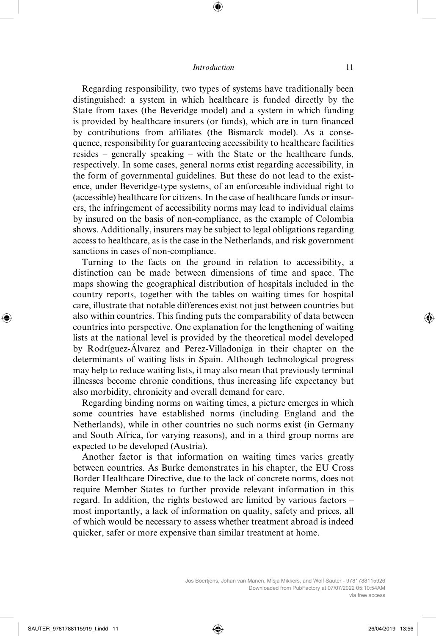Regarding responsibility, two types of systems have traditionally been distinguished: a system in which healthcare is funded directly by the State from taxes (the Beveridge model) and a system in which funding is provided by healthcare insurers (or funds), which are in turn financed by contributions from affiliates (the Bismarck model). As a consequence, responsibility for guaranteeing accessibility to healthcare facilities resides – generally speaking – with the State or the healthcare funds, respectively. In some cases, general norms exist regarding accessibility, in the form of governmental guidelines. But these do not lead to the existence, under Beveridge-type systems, of an enforceable individual right to (accessible) healthcare for citizens. In the case of healthcare funds or insurers, the infringement of accessibility norms may lead to individual claims by insured on the basis of non-compliance, as the example of Colombia shows. Additionally, insurers may be subject to legal obligations regarding access to healthcare, as is the case in the Netherlands, and risk government sanctions in cases of non-compliance.

Turning to the facts on the ground in relation to accessibility, a distinction can be made between dimensions of time and space. The maps showing the geographical distribution of hospitals included in the country reports, together with the tables on waiting times for hospital care, illustrate that notable differences exist not just between countries but also within countries. This finding puts the comparability of data between countries into perspective. One explanation for the lengthening of waiting lists at the national level is provided by the theoretical model developed by Rodríguez-Álvarez and Perez-Villadoniga in their chapter on the determinants of waiting lists in Spain. Although technological progress may help to reduce waiting lists, it may also mean that previously terminal illnesses become chronic conditions, thus increasing life expectancy but also morbidity, chronicity and overall demand for care.

Regarding binding norms on waiting times, a picture emerges in which some countries have established norms (including England and the Netherlands), while in other countries no such norms exist (in Germany and South Africa, for varying reasons), and in a third group norms are expected to be developed (Austria).

Another factor is that information on waiting times varies greatly between countries. As Burke demonstrates in his chapter, the EU Cross Border Healthcare Directive, due to the lack of concrete norms, does not require Member States to further provide relevant information in this regard. In addition, the rights bestowed are limited by various factors – most importantly, a lack of information on quality, safety and prices, all of which would be necessary to assess whether treatment abroad is indeed quicker, safer or more expensive than similar treatment at home.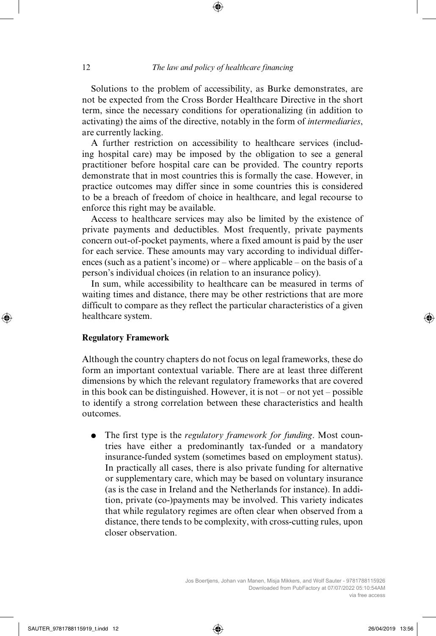Solutions to the problem of accessibility, as Burke demonstrates, are not be expected from the Cross Border Healthcare Directive in the short term, since the necessary conditions for operationalizing (in addition to activating) the aims of the directive, notably in the form of *intermediaries*, are currently lacking.

A further restriction on accessibility to healthcare services (including hospital care) may be imposed by the obligation to see a general practitioner before hospital care can be provided. The country reports demonstrate that in most countries this is formally the case. However, in practice outcomes may differ since in some countries this is considered to be a breach of freedom of choice in healthcare, and legal recourse to enforce this right may be available.

Access to healthcare services may also be limited by the existence of private payments and deductibles. Most frequently, private payments concern out-of-pocket payments, where a fixed amount is paid by the user for each service. These amounts may vary according to individual differences (such as a patient's income) or – where applicable – on the basis of a person's individual choices (in relation to an insurance policy).

In sum, while accessibility to healthcare can be measured in terms of waiting times and distance, there may be other restrictions that are more difficult to compare as they reflect the particular characteristics of a given healthcare system.

#### **Regulatory Framework**

Although the country chapters do not focus on legal frameworks, these do form an important contextual variable. There are at least three different dimensions by which the relevant regulatory frameworks that are covered in this book can be distinguished. However, it is not – or not yet – possible to identify a strong correlation between these characteristics and health outcomes.

The first type is the *regulatory framework for funding*. Most countries have either a predominantly tax-funded or a mandatory insurance-funded system (sometimes based on employment status). In practically all cases, there is also private funding for alternative or supplementary care, which may be based on voluntary insurance (as is the case in Ireland and the Netherlands for instance). In addition, private (co-)payments may be involved. This variety indicates that while regulatory regimes are often clear when observed from a distance, there tends to be complexity, with cross-cutting rules, upon closer observation.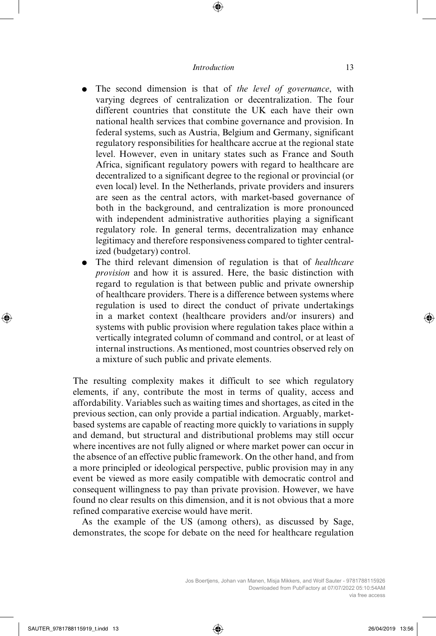- The second dimension is that of *the level of governance*, with varying degrees of centralization or decentralization. The four different countries that constitute the UK each have their own national health services that combine governance and provision. In federal systems, such as Austria, Belgium and Germany, significant regulatory responsibilities for healthcare accrue at the regional state level. However, even in unitary states such as France and South Africa, significant regulatory powers with regard to healthcare are decentralized to a significant degree to the regional or provincial (or even local) level. In the Netherlands, private providers and insurers are seen as the central actors, with market-based governance of both in the background, and centralization is more pronounced with independent administrative authorities playing a significant regulatory role. In general terms, decentralization may enhance legitimacy and therefore responsiveness compared to tighter centralized (budgetary) control.
- The third relevant dimension of regulation is that of *healthcare provision* and how it is assured. Here, the basic distinction with regard to regulation is that between public and private ownership of healthcare providers. There is a difference between systems where regulation is used to direct the conduct of private undertakings in a market context (healthcare providers and/or insurers) and systems with public provision where regulation takes place within a vertically integrated column of command and control, or at least of internal instructions. As mentioned, most countries observed rely on a mixture of such public and private elements.

The resulting complexity makes it difficult to see which regulatory elements, if any, contribute the most in terms of quality, access and affordability. Variables such as waiting times and shortages, as cited in the previous section, can only provide a partial indication. Arguably, marketbased systems are capable of reacting more quickly to variations in supply and demand, but structural and distributional problems may still occur where incentives are not fully aligned or where market power can occur in the absence of an effective public framework. On the other hand, and from a more principled or ideological perspective, public provision may in any event be viewed as more easily compatible with democratic control and consequent willingness to pay than private provision. However, we have found no clear results on this dimension, and it is not obvious that a more refined comparative exercise would have merit.

As the example of the US (among others), as discussed by Sage, demonstrates, the scope for debate on the need for healthcare regulation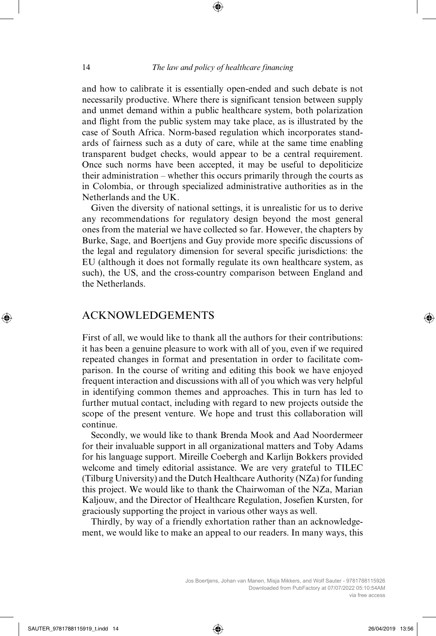and how to calibrate it is essentially open-ended and such debate is not necessarily productive. Where there is significant tension between supply and unmet demand within a public healthcare system, both polarization and flight from the public system may take place, as is illustrated by the case of South Africa. Norm-based regulation which incorporates standards of fairness such as a duty of care, while at the same time enabling transparent budget checks, would appear to be a central requirement. Once such norms have been accepted, it may be useful to depoliticize their administration – whether this occurs primarily through the courts as in Colombia, or through specialized administrative authorities as in the Netherlands and the UK.

Given the diversity of national settings, it is unrealistic for us to derive any recommendations for regulatory design beyond the most general ones from the material we have collected so far. However, the chapters by Burke, Sage, and Boertjens and Guy provide more specific discussions of the legal and regulatory dimension for several specific jurisdictions: the EU (although it does not formally regulate its own healthcare system, as such), the US, and the cross-country comparison between England and the Netherlands.

### ACKNOWLEDGEMENTS

First of all, we would like to thank all the authors for their contributions: it has been a genuine pleasure to work with all of you, even if we required repeated changes in format and presentation in order to facilitate comparison. In the course of writing and editing this book we have enjoyed frequent interaction and discussions with all of you which was very helpful in identifying common themes and approaches. This in turn has led to further mutual contact, including with regard to new projects outside the scope of the present venture. We hope and trust this collaboration will continue.

Secondly, we would like to thank Brenda Mook and Aad Noordermeer for their invaluable support in all organizational matters and Toby Adams for his language support. Mireille Coebergh and Karlijn Bokkers provided welcome and timely editorial assistance. We are very grateful to TILEC (Tilburg University) and the Dutch Healthcare Authority (NZa) for funding this project. We would like to thank the Chairwoman of the NZa, Marian Kaljouw, and the Director of Healthcare Regulation, Josefien Kursten, for graciously supporting the project in various other ways as well.

Thirdly, by way of a friendly exhortation rather than an acknowledgement, we would like to make an appeal to our readers. In many ways, this